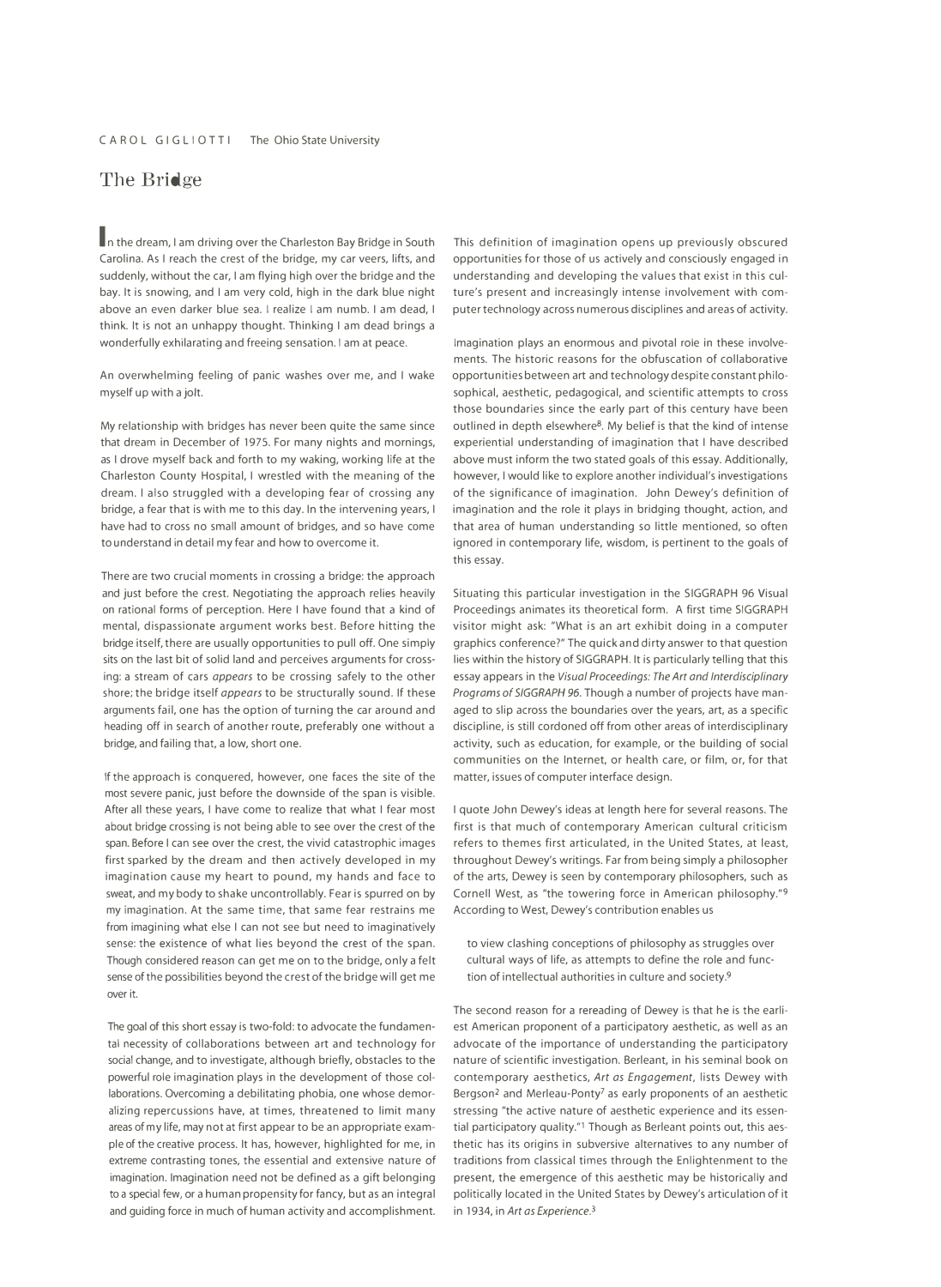## **The Bridge**

**In** the dream, I am driving over the Charleston Bay Bridge in South Carolina. As I reach the crest of the bridge, my car veers, lifts, and suddenly, without the car, I am flying high over the bridge and the bay. It is snowing, and I am very cold, high in the dark blue night above an even darker blue sea. I realize I am numb. I am dead, I think. It is not an unhappy thought. Thinking I am dead brings a wonderfully exhilarating and freeing sensation. I am at peace.

An overwhelming feeling of panic washes over me, and I wake myself up with a jolt.

My relationship with bridges has never been quite the same since that dream in December of 1975. For many nights and mornings, as I drove myself back and forth to my waking, working life at the Charleston County Hospital, I wrestled with the meaning of the dream. I also struggled with a developing fear of crossing any bridge, a fear that is with me to this day. In the intervening years, I have had to cross no small amount of bridges, and so have come to understand in detail my fear and how to overcome it.

There are two crucial moments in crossing a bridge: the approach and just before the crest. Negotiating the approach relies heavily on rational forms of perception. Here I have found that a kind of mental, dispassionate argument works best. Before hitting the bridge itself, there are usually opportunities to pull *off.* One simply sits on the last bit of solid land and perceives arguments for crossing: a stream of cars *appears* to be crossing safely to the other shore; the bridge itself *appears* to be structurally sound. If these arguments fail, one has the option of turning the car around and heading *off* in search of another route, preferably one without a bridge, and failing that, a low, short one.

If the approach is conquered, however, one faces the site of the matter, issues of computer interface design. most severe panic, just before the downside of the span is visible. After all these years, I have come to realize that what I fear most about bridge crossing is not being able to see over the crest of the span. Before I can see over the crest, the vivid catastrophic images first sparked by the dream and then actively developed in my imagination cause my heart to pound, my hands and face to sweat, and my body to shake uncontrollably. Fear is spurred on by my imagination. At the same time, that same fear restrains me According to West, Dewey's contribution enables us from imagining what else I can not see but need to imaginatively sense: the existence of what lies beyond the crest of the span. Though considered reason can get me on to the bridge, only a felt sense of the possibilities beyond the crest of the bridge will get me over it.

The goal of this short essay is two-fold: to advocate the fundamental necessity of collaborations between art and technology for social change, and to investigate, although briefly, obstacles to the powerful role imagination plays in the development of those collaborations. Overcoming a debilitating phobia, one whose demoralizing repercussions have, at times, threatened to limit many areas of my life, may not at first appear to be an appropriate example of the creative process. It has, however, highlighted for me, in extreme contrasting tones, the essential and extensive nature of imagination. Imagination need not be defined as a gift belonging to a special few, or a human propensity for fancy, but as an integral and guiding force in much of human activity and accomplishment.

This definition of imagination opens up previously obscured opportunities for those of us actively and consciously engaged in understanding and developing the values that exist in this culture's present and increasingly intense involvement with computer technology across numerous disciplines and areas of activity.

Imagination plays an enormous and pivotal role in these involvements. The historic reasons for the obfuscation of collaborative opportunities between art and technology despite constant philosophical, aesthetic, pedagogical, and scientific attempts to cross those boundaries since the early part of this century have been outlined in depth elsewhere<sup>8</sup>. My belief is that the kind of intense experiential understanding of imagination that I have described above must inform the two stated goals of this essay. Additionally, however, I would like to explore another individual's investigations of the significance of imagination. John Dewey's definition of imagination and the role it plays in bridging thought, action, and that area of human understanding so little mentioned, so often ignored in contemporary life, wisdom, is pertinent to the goals of this essay.

Situating this particular investigation in the SIGGRAPH 96 Visual Proceedings animates its theoretical form. A first time SIGGRAPH visitor might ask: "What is an art exhibit doing in a computer graphics conference?" The quick and dirty answer to that question lies within the history of SIGGRAPH. It is particularly telling that this essay appears in the *Visual Proceedings: The Art and Interdisciplinary Programs of SIGGRAPH* 96. Though a number of projects have managed to slip across the boundaries over the years, art, as a specific discipline, is still cordoned *off* from other areas of interdisciplinary activity, such as education, for example, or the building of social communities on the Internet, or health care, or film, or, for that

I quote John Dewey's ideas at length here for several reasons. The first is that much of contemporary American cultural criticism refers to themes first articulated, in the United States, at least, throughout Dewey's writings. Far from being simply a philosopher of the arts, Dewey is seen by contemporary philosophers, such as Cornell West, as "the towering force in American philosophy."9

to view clashing conceptions of philosophy as struggles over cultural ways of life, as attempts to define the role and function of intellectual authorities in culture and society.9

The second reason for a rereading of Dewey is that he is the earliest American proponent of a participatory aesthetic, as well as an advocate of the importance of understanding the participatory nature of scientific investigation. Berleant, in his seminal book on contemporary aesthetics, *Art as Engagement,* lists Dewey with Bergson<sup>2</sup> and Merleau-Ponty<sup>7</sup> as early proponents of an aesthetic stressing "the active nature of aesthetic experience and its essential participatory quality."<sup>1</sup> Though as Berleant points out, this aesthetic has its origins in subversive alternatives to any number of traditions from classical times through the Enlightenment to the present, the emergence of this aesthetic may be historically and politically located in the United States by Dewey's articulation of it in 1934, in *Art as Experience.3*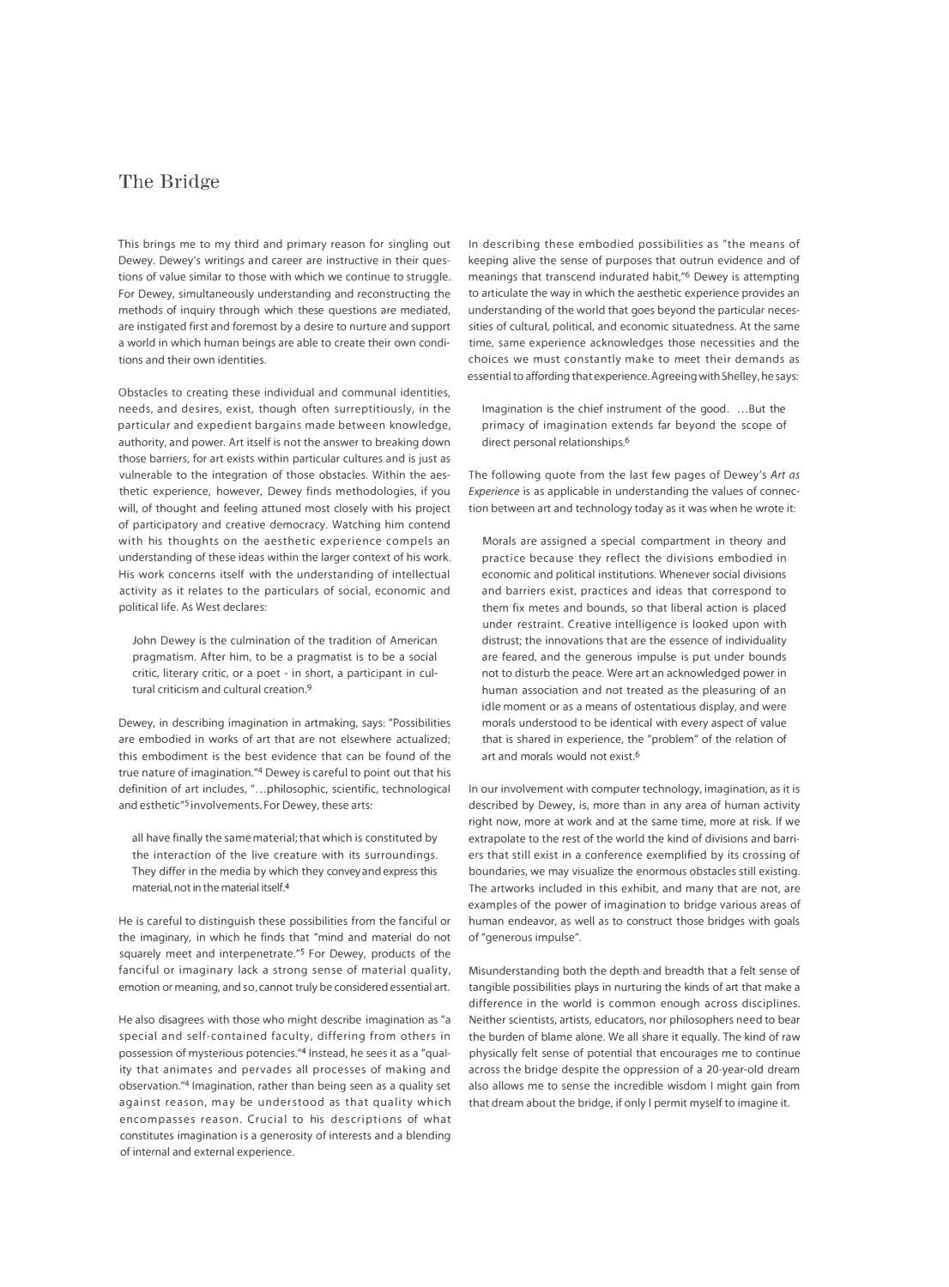## **The Bridge**

Dewey. Dewey's writings and career are instructive in their ques- keeping alive the sense of purposes that outrun evidence and of tions of value similar to those with which we continue to struggle. meanings that transcend indurated habit,"<sup>6</sup> Dewey is attempting For Dewey, simultaneously understanding and reconstructing the to articulate the way in which the aesthetic experience provides an methods of inquiry through which these questions are mediated, understanding of the world that goes beyond the particular necesare instigated first and foremost by a desire to nurture and support sities of cultural, political, and economic situatedness. At the same a world in which human beings are able to create their own condi- time, same experience acknowledges those necessities and the tions and their own identities. choices we must constantly make to meet their demands as

Obstacles to creating these individual and communal identities, needs, and desires, exist, though often surreptitiously, in the particular and expedient bargains made between knowledge, authority, and power. Art itself is not the answer to breaking down those barriers, for art exists within particular cultures and is just as vulnerable to the integration of those obstacles. Within the aes- The following quote from the last few pages of Dewey's *Art as*  thetic experience, however, Dewey finds methodologies, if you *Experience* is as applicable in understanding the values of connecwill, of thought and feeling attuned most closely with his project tion between art and technology today as it was when he wrote it: of participatory and creative democracy. Watching him contend with his thoughts on the aesthetic experience compels an understanding of these ideas within the larger context of his work. His work concerns itself with the understanding of intellectual activity as it relates to the particulars of social, economic and political life. As West declares:

John Dewey is the culmination of the tradition of American pragmatism. After him, to be a pragmatist is to be a social critic, literary critic, or a poet - in short, a participant in cultural criticism and cultural creation.9

Dewey, in describing imagination in artmaking, says: "Possibilities are embodied in works of art that are not elsewhere actualized; this embodiment is the best evidence that can be found of the true nature of imagination." 4 Dewey is careful to point out that his definition of art includes, "...philosophic, scientific, technological In our involvement with computer technology, imagination, as it is and esthetic"<sup>5</sup> involvements. For Dewey, these arts: described by Dewey, is, more than in any area of human activity

the imaginary, in which he finds that "mind and material do not squarely meet and interpenetrate."S For Dewey, products of the fanciful or imaginary lack a strong sense of material quality, emotion or meaning, and so, cannot truly be considered essential art.

He also disagrees with those who might describe imagination as "a special and self-contained faculty, differing from others in possession of mysterious potencies."<sup>4</sup> Instead, he sees it as a "qual- physically felt sense of potential that encourages me to continue ity that animates and pervades all processes of making and across the bridge despite the oppression of a 20-year-old dream observation."4 Imagination, rather than being seen as a quality set also allows me to sense the incredible wisdom I might gain from against reason, may be understood as that quality which that dream about the bridge, if only I permit myself to imagine it. encompasses reason. Crucial to his descriptions of what constitutes imagination is a generosity of interests and a blending of internal and external experience.

This brings me to my third and primary reason for singling out In describing these embodied possibilities as "the means of essential to affording that experience. Agreeing with Shelley, he says:

> Imagination is the chief instrument of the good. ...But the primacy of imagination extends far beyond the scope of direct personal relationships.6

Morals are assigned a special compartment in theory and practice because they reflect the divisions embodied in economic and political institutions. Whenever social divisions and barriers exist, practices and ideas that correspond to them fix metes and bounds, so that liberal action is placed under restraint. Creative intelligence is looked upon with distrust; the innovations that are the essence of individuality are feared, and the generous impulse is put under bounds not to disturb the peace. Were art an acknowledged power in human association and not treated as the pleasuring of an idle moment or as a means of ostentatious display, and were morals understood to be identical with every aspect of value that is shared in experience, the "problem" of the relation of art and morals would not exist.6

right now, more at work and at the same time, more at risk. If we all have finally the same material; that which is constituted by extrapolate to the rest of the world the kind of divisions and barrithe interaction of the live creature with its surroundings. ers that still exist in a conference exemplified by its crossing of They differ in the media by which they convey and express this boundaries, we may visualize the enormous obstacles still existing. material, not in the material itself.<sup>4</sup> The artworks included in this exhibit, and many that are not, are examples of the power of imagination to bridge various areas of He is careful to distinguish these possibilities from the fanciful or human endeavor, as well as to construct those bridges with goals of "generous impulse".

> Misunderstanding both the depth and breadth that a felt sense of tangible possibilities plays in nurturing the kinds of art that make a difference in the world is common enough across disciplines. Neither scientists, artists, educators, nor philosophers need to bear the burden of blame alone. We all share it equally. The kind of raw